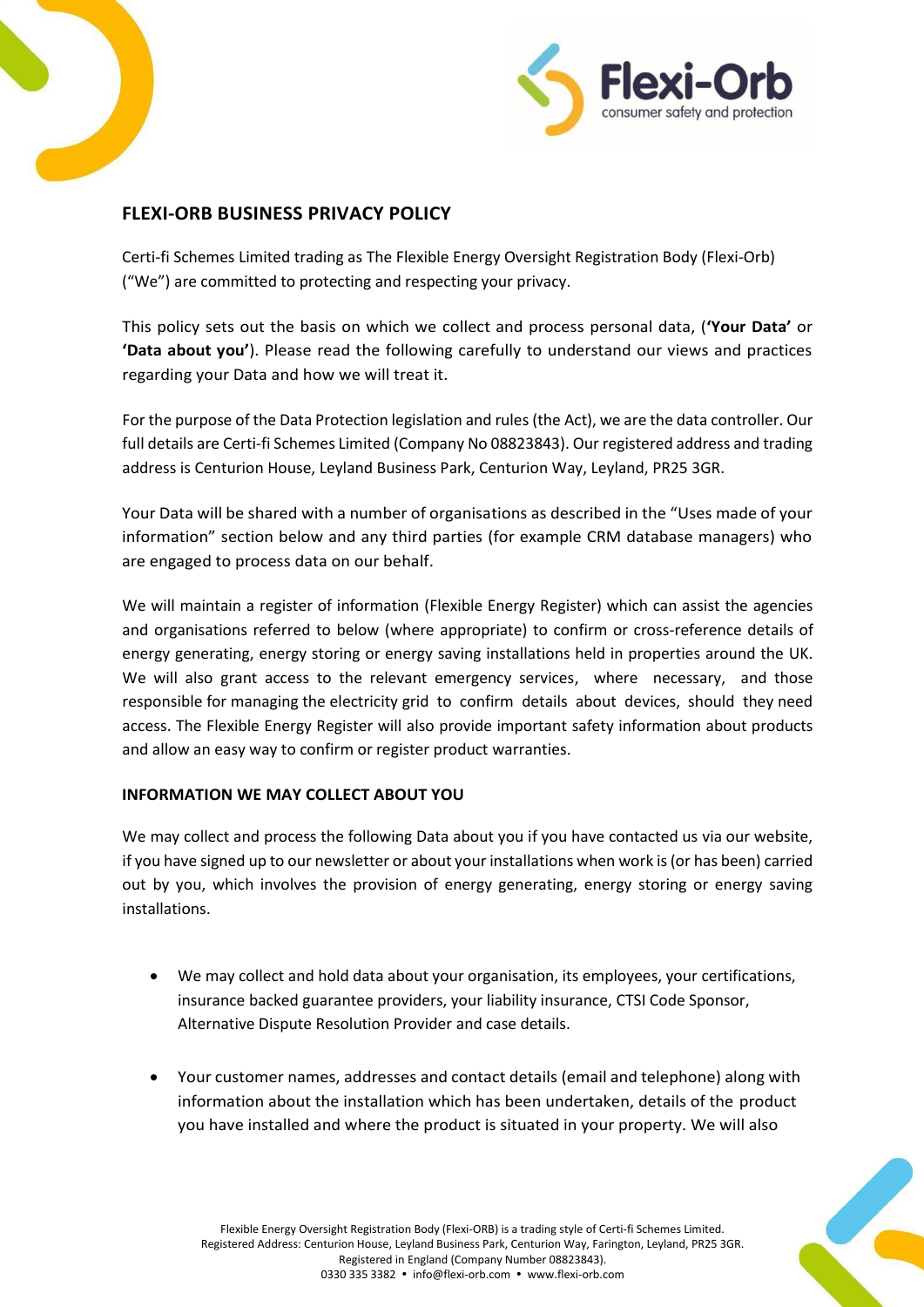



# **FLEXI-ORB BUSINESS PRIVACY POLICY**

Certi-fi Schemes Limited trading as The Flexible Energy Oversight Registration Body (Flexi-Orb) ("We") are committed to protecting and respecting your privacy.

This policy sets out the basis on which we collect and process personal data, (**'Your Data'** or **'Data about you'**). Please read the following carefully to understand our views and practices regarding your Data and how we will treat it.

For the purpose of the Data Protection legislation and rules (the Act), we are the data controller. Our full details are Certi-fi Schemes Limited (Company No 08823843). Our registered address and trading address is Centurion House, Leyland Business Park, Centurion Way, Leyland, PR25 3GR.

Your Data will be shared with a number of organisations as described in the "Uses made of your information" section below and any third parties (for example CRM database managers) who are engaged to process data on our behalf.

We will maintain a register of information (Flexible Energy Register) which can assist the agencies and organisations referred to below (where appropriate) to confirm or cross-reference details of energy generating, energy storing or energy saving installations held in properties around the UK. We will also grant access to the relevant emergency services, where necessary, and those responsible for managing the electricity grid to confirm details about devices, should they need access. The Flexible Energy Register will also provide important safety information about products and allow an easy way to confirm or register product warranties.

# **INFORMATION WE MAY COLLECT ABOUT YOU**

We may collect and process the following Data about you if you have contacted us via our website, if you have signed up to our newsletter or about your installations when work is (or has been) carried out by you, which involves the provision of energy generating, energy storing or energy saving installations.

- We may collect and hold data about your organisation, its employees, your certifications, insurance backed guarantee providers, your liability insurance, CTSI Code Sponsor, Alternative Dispute Resolution Provider and case details.
- Your customer names, addresses and contact details (email and telephone) along with information about the installation which has been undertaken, details of the product you have installed and where the product is situated in your property. We will also

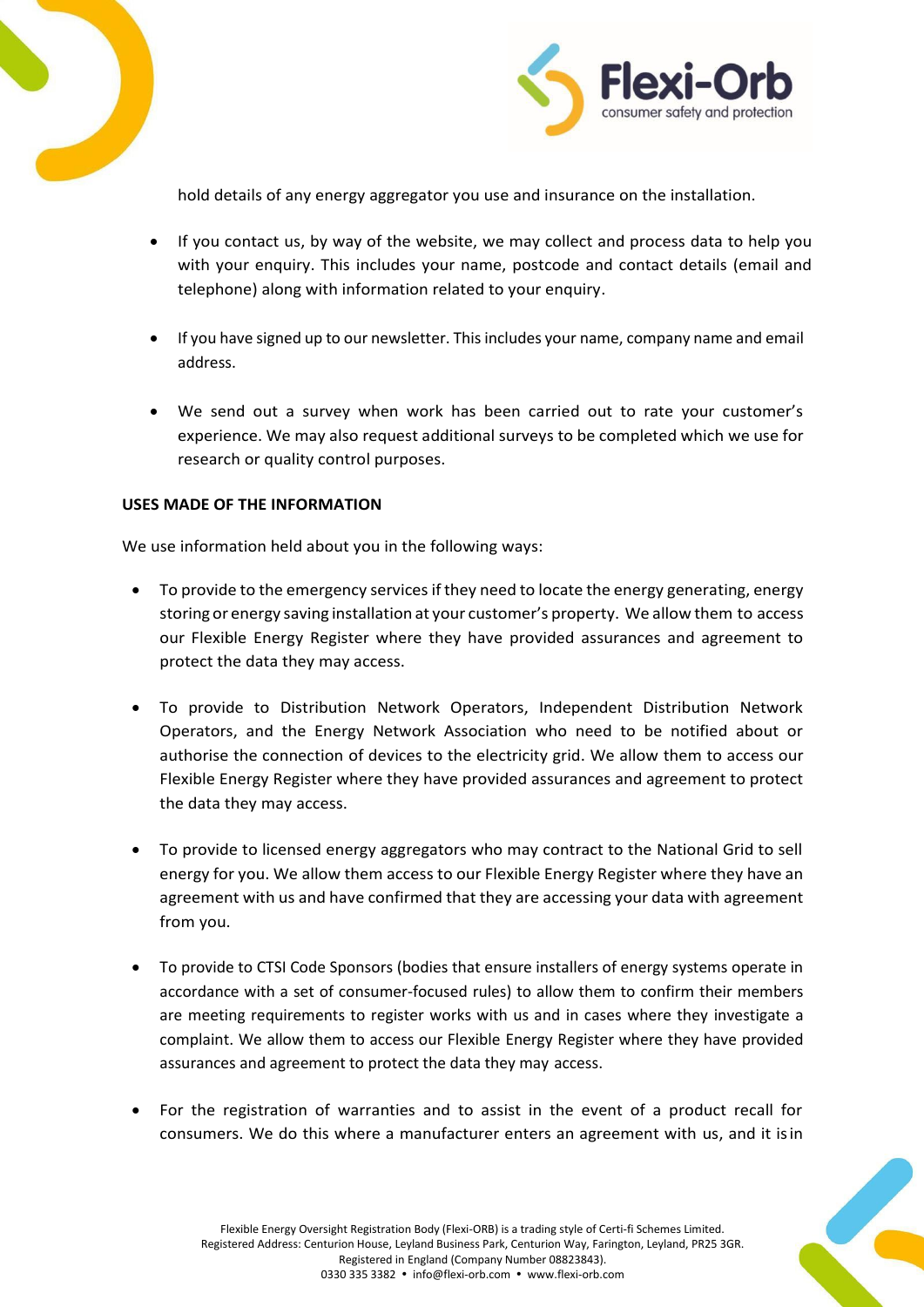



hold details of any energy aggregator you use and insurance on the installation.

- If you contact us, by way of the website, we may collect and process data to help you with your enquiry. This includes your name, postcode and contact details (email and telephone) along with information related to your enquiry.
- If you have signed up to our newsletter. This includes your name, company name and email address.
- We send out a survey when work has been carried out to rate your customer's experience. We may also request additional surveys to be completed which we use for research or quality control purposes.

#### **USES MADE OF THE INFORMATION**

We use information held about you in the following ways:

- To provide to the emergency services if they need to locate the energy generating, energy storing or energy saving installation at your customer's property. We allow them to access our Flexible Energy Register where they have provided assurances and agreement to protect the data they may access.
- To provide to Distribution Network Operators, Independent Distribution Network Operators, and the Energy Network Association who need to be notified about or authorise the connection of devices to the electricity grid. We allow them to access our Flexible Energy Register where they have provided assurances and agreement to protect the data they may access.
- To provide to licensed energy aggregators who may contract to the National Grid to sell energy for you. We allow them access to our Flexible Energy Register where they have an agreement with us and have confirmed that they are accessing your data with agreement from you.
- To provide to CTSI Code Sponsors (bodies that ensure installers of energy systems operate in accordance with a set of consumer-focused rules) to allow them to confirm their members are meeting requirements to register works with us and in cases where they investigate a complaint. We allow them to access our Flexible Energy Register where they have provided assurances and agreement to protect the data they may access.
- For the registration of warranties and to assist in the event of a product recall for consumers. We do this where a manufacturer enters an agreement with us, and it isin

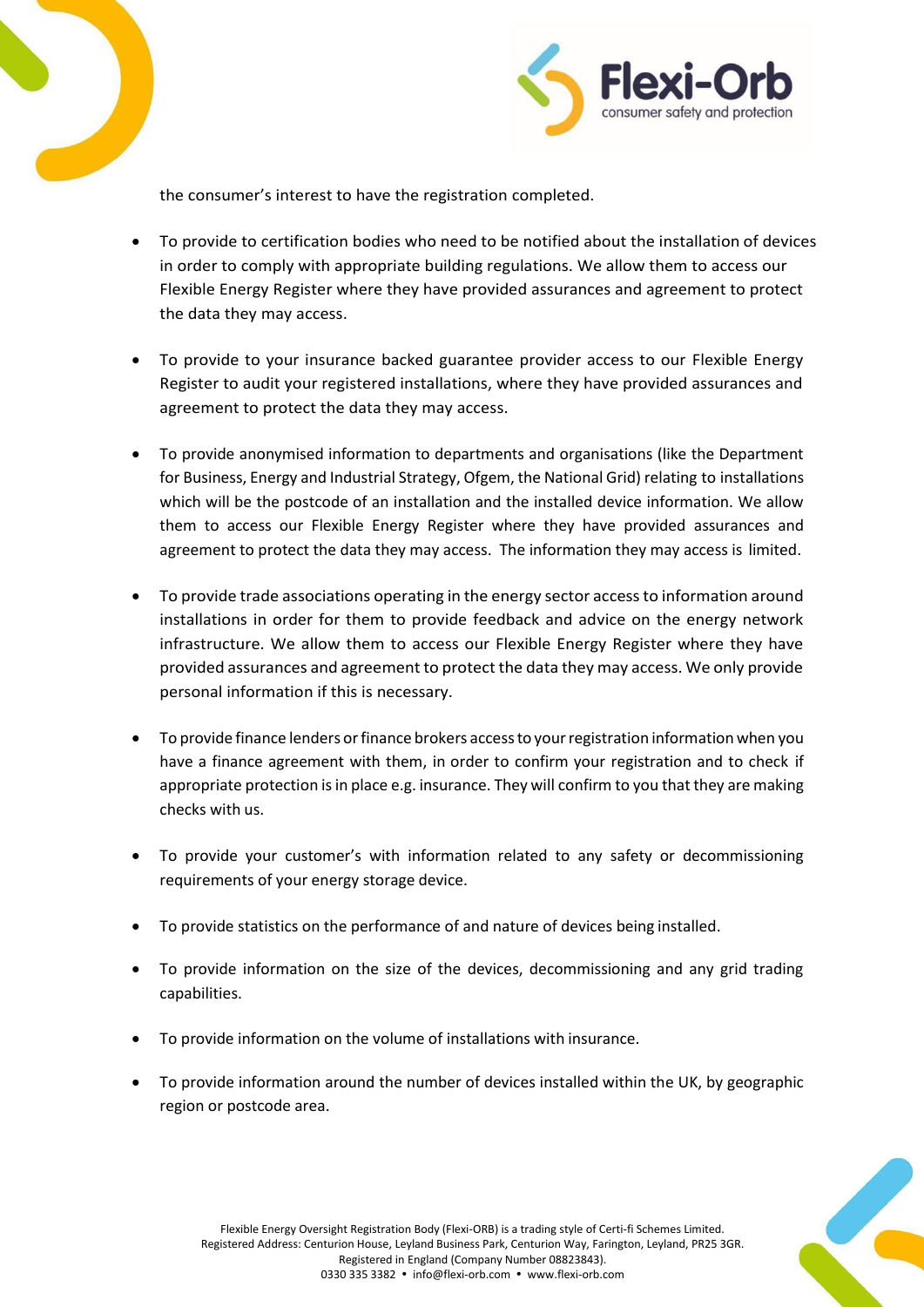



the consumer's interest to have the registration completed.

- To provide to certification bodies who need to be notified about the installation of devices in order to comply with appropriate building regulations. We allow them to access our Flexible Energy Register where they have provided assurances and agreement to protect the data they may access.
- To provide to your insurance backed guarantee provider access to our Flexible Energy Register to audit your registered installations, where they have provided assurances and agreement to protect the data they may access.
- To provide anonymised information to departments and organisations (like the Department for Business, Energy and Industrial Strategy, Ofgem, the National Grid) relating to installations which will be the postcode of an installation and the installed device information. We allow them to access our Flexible Energy Register where they have provided assurances and agreement to protect the data they may access. The information they may access is limited.
- To provide trade associations operating in the energy sector accessto information around installations in order for them to provide feedback and advice on the energy network infrastructure. We allow them to access our Flexible Energy Register where they have provided assurances and agreement to protect the data they may access. We only provide personal information if this is necessary.
- To provide finance lenders or finance brokers access to your registration information when you have a finance agreement with them, in order to confirm your registration and to check if appropriate protection is in place e.g. insurance. They will confirm to you that they are making checks with us.
- To provide your customer's with information related to any safety or decommissioning requirements of your energy storage device.
- To provide statistics on the performance of and nature of devices being installed.
- To provide information on the size of the devices, decommissioning and any grid trading capabilities.
- To provide information on the volume of installations with insurance.
- To provide information around the number of devices installed within the UK, by geographic region or postcode area.

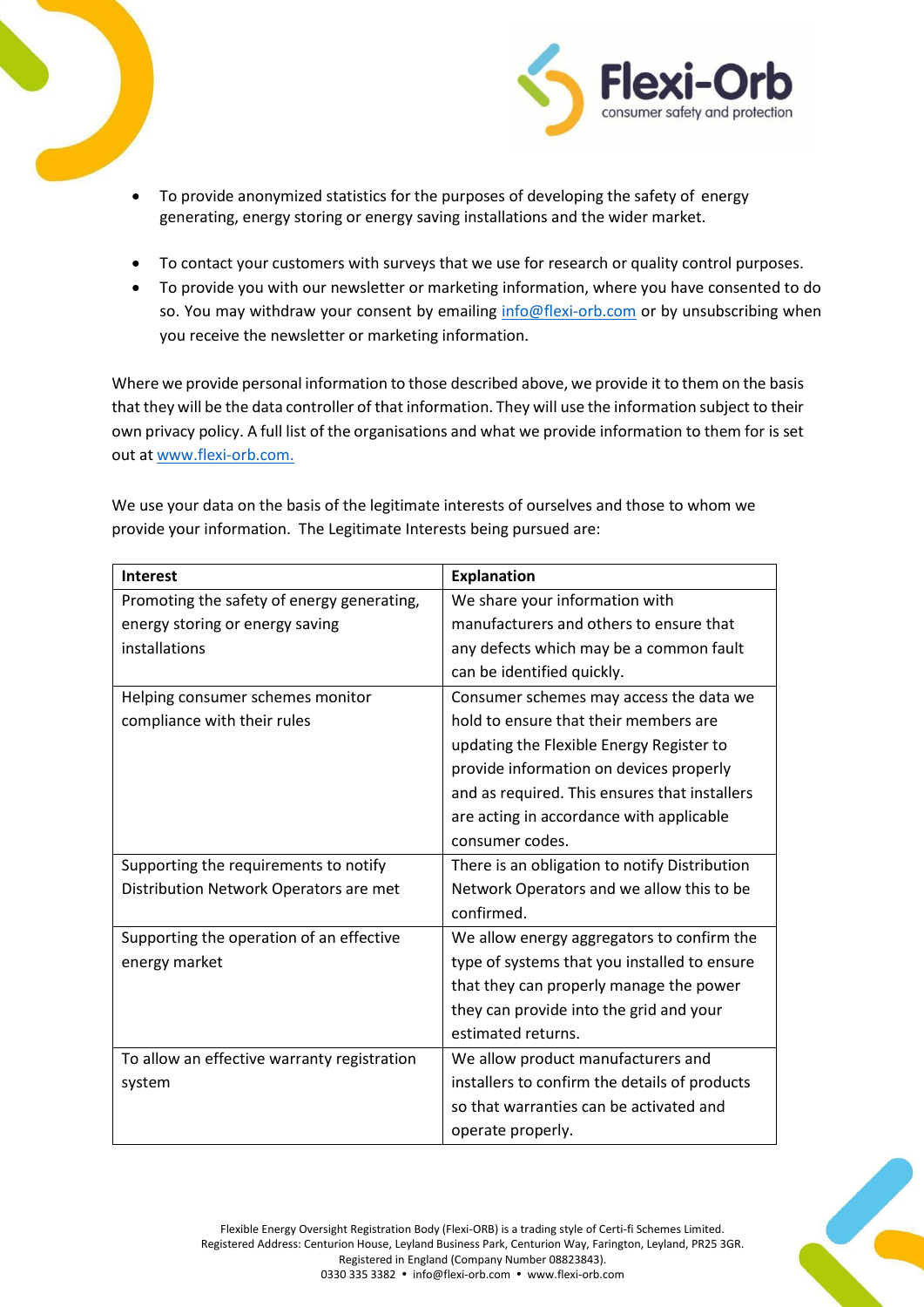



- To provide anonymized statistics for the purposes of developing the safety of energy generating, energy storing or energy saving installations and the wider market.
- To contact your customers with surveys that we use for research or quality control purposes.
- To provide you with our newsletter or marketing information, where you have consented to do so. You may withdraw your consent by emailing [info@flexi-orb.com](mailto:info@flexi-orb.com) or by unsubscribing when you receive the newsletter or marketing information.

Where we provide personal information to those described above, we provide it to them on the basis that they will be the data controller of that information. They will use the information subject to their own privacy policy. A full list of the organisations and what we provide information to them for is set out at [www.flexi-orb.com.](http://www.flexi-orb.com/)

We use your data on the basis of the legitimate interests of ourselves and those to whom we provide your information. The Legitimate Interests being pursued are:

| <b>Interest</b>                             | <b>Explanation</b>                            |
|---------------------------------------------|-----------------------------------------------|
| Promoting the safety of energy generating,  | We share your information with                |
| energy storing or energy saving             | manufacturers and others to ensure that       |
| installations                               | any defects which may be a common fault       |
|                                             | can be identified quickly.                    |
| Helping consumer schemes monitor            | Consumer schemes may access the data we       |
| compliance with their rules                 | hold to ensure that their members are         |
|                                             | updating the Flexible Energy Register to      |
|                                             | provide information on devices properly       |
|                                             | and as required. This ensures that installers |
|                                             | are acting in accordance with applicable      |
|                                             | consumer codes.                               |
| Supporting the requirements to notify       | There is an obligation to notify Distribution |
| Distribution Network Operators are met      | Network Operators and we allow this to be     |
|                                             | confirmed.                                    |
| Supporting the operation of an effective    | We allow energy aggregators to confirm the    |
| energy market                               | type of systems that you installed to ensure  |
|                                             | that they can properly manage the power       |
|                                             | they can provide into the grid and your       |
|                                             | estimated returns.                            |
| To allow an effective warranty registration | We allow product manufacturers and            |
| system                                      | installers to confirm the details of products |
|                                             | so that warranties can be activated and       |
|                                             | operate properly.                             |

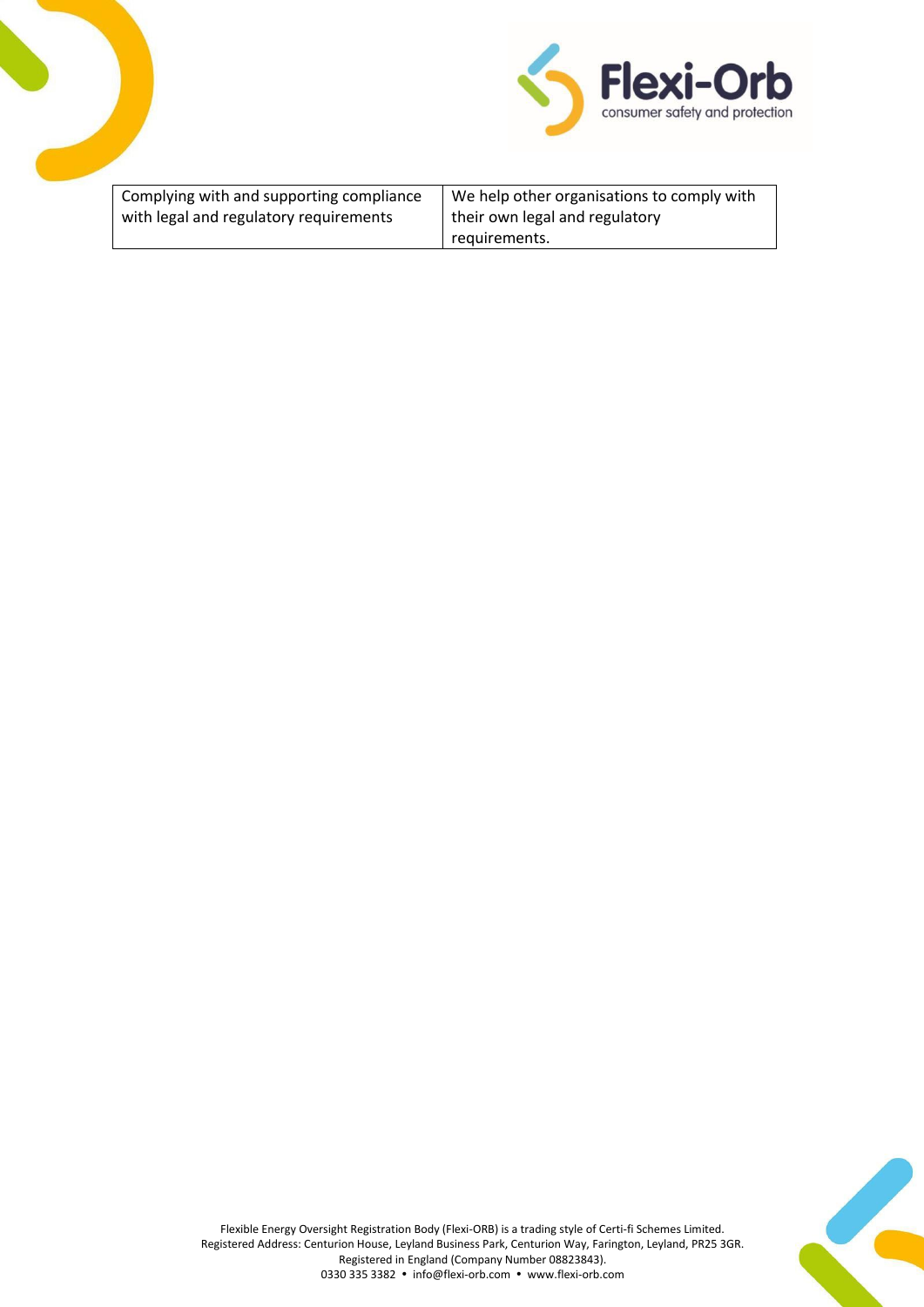



| Complying with and supporting compliance | We help other organisations to comply with |
|------------------------------------------|--------------------------------------------|
| with legal and regulatory requirements   | their own legal and regulatory             |
|                                          | requirements.                              |

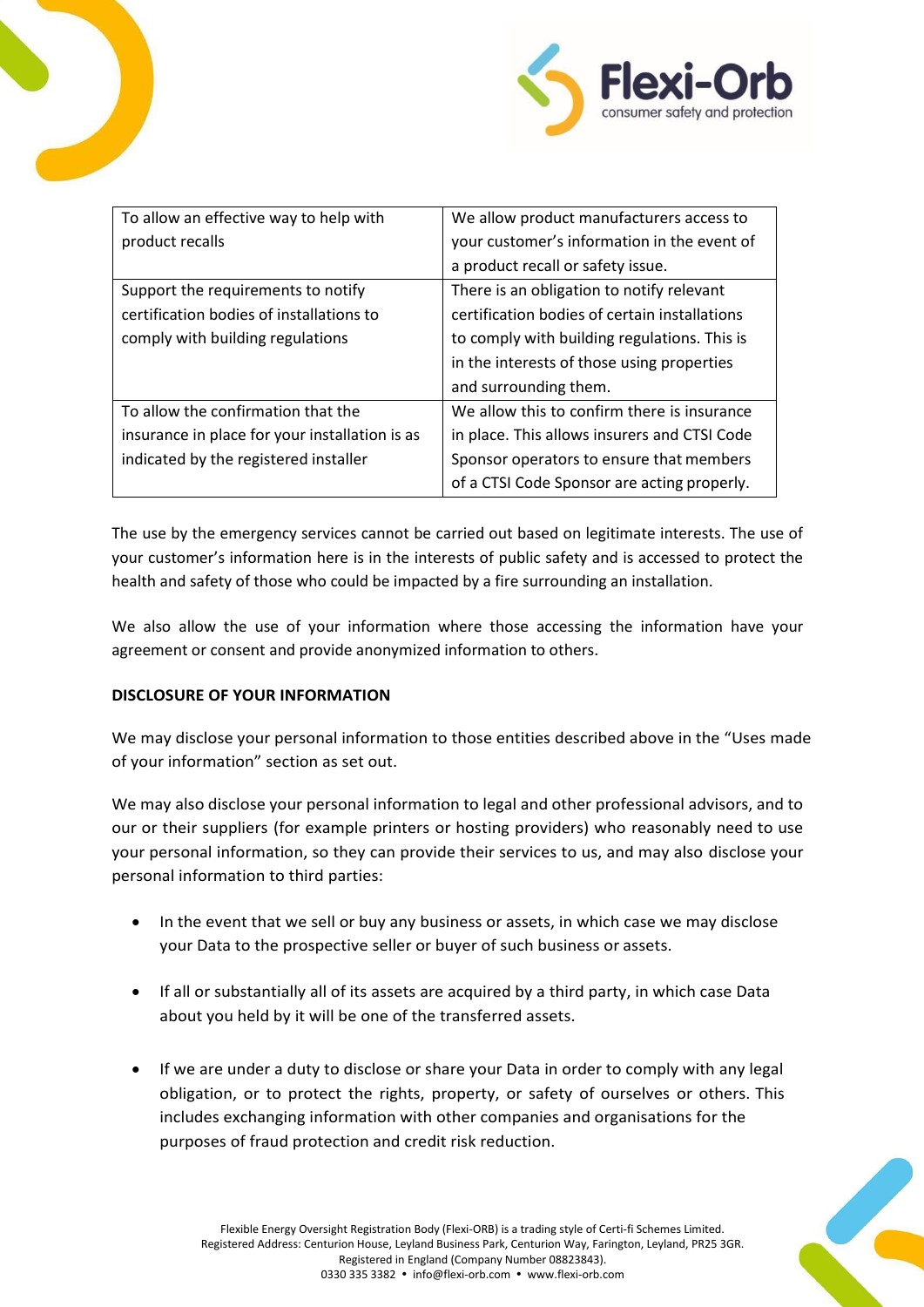



| To allow an effective way to help with         | We allow product manufacturers access to      |
|------------------------------------------------|-----------------------------------------------|
| product recalls                                | your customer's information in the event of   |
|                                                | a product recall or safety issue.             |
| Support the requirements to notify             | There is an obligation to notify relevant     |
| certification bodies of installations to       | certification bodies of certain installations |
| comply with building regulations               | to comply with building regulations. This is  |
|                                                | in the interests of those using properties    |
|                                                | and surrounding them.                         |
| To allow the confirmation that the             | We allow this to confirm there is insurance   |
| insurance in place for your installation is as | in place. This allows insurers and CTSI Code  |
| indicated by the registered installer          | Sponsor operators to ensure that members      |
|                                                | of a CTSI Code Sponsor are acting properly.   |

The use by the emergency services cannot be carried out based on legitimate interests. The use of your customer's information here is in the interests of public safety and is accessed to protect the health and safety of those who could be impacted by a fire surrounding an installation.

We also allow the use of your information where those accessing the information have your agreement or consent and provide anonymized information to others.

# **DISCLOSURE OF YOUR INFORMATION**

We may disclose your personal information to those entities described above in the "Uses made of your information" section as set out.

We may also disclose your personal information to legal and other professional advisors, and to our or their suppliers (for example printers or hosting providers) who reasonably need to use your personal information, so they can provide their services to us, and may also disclose your personal information to third parties:

- In the event that we sell or buy any business or assets, in which case we may disclose your Data to the prospective seller or buyer of such business or assets.
- If all or substantially all of its assets are acquired by a third party, in which case Data about you held by it will be one of the transferred assets.
- If we are under a duty to disclose or share your Data in order to comply with any legal obligation, or to protect the rights, property, or safety of ourselves or others. This includes exchanging information with other companies and organisations for the purposes of fraud protection and credit risk reduction.

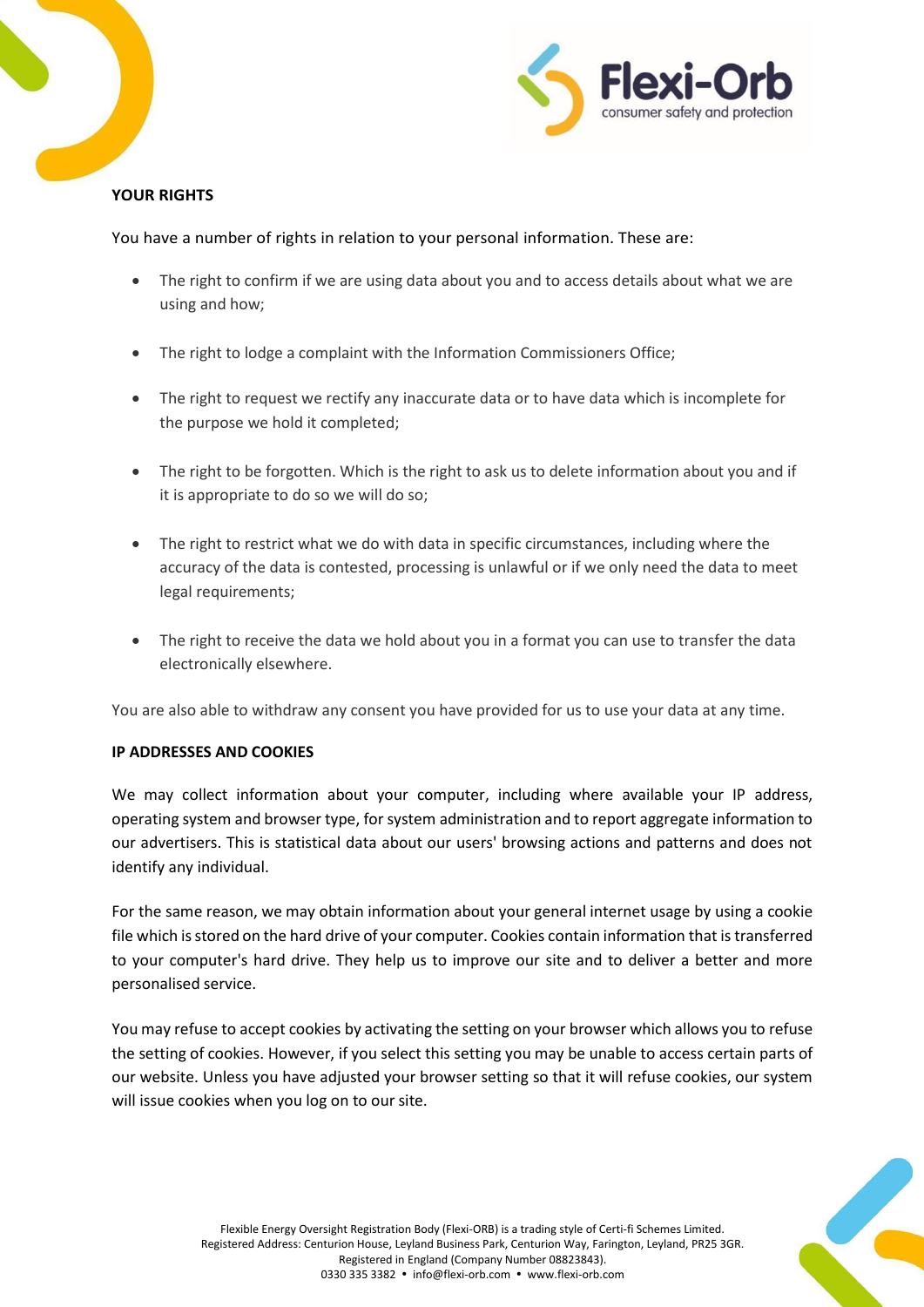



# **YOUR RIGHTS**

You have a number of rights in relation to your personal information. These are:

- The right to confirm if we are using data about you and to access details about what we are using and how;
- The right to lodge a complaint with the Information Commissioners Office;
- The right to request we rectify any inaccurate data or to have data which is incomplete for the purpose we hold it completed;
- The right to be forgotten. Which is the right to ask us to delete information about you and if it is appropriate to do so we will do so;
- The right to restrict what we do with data in specific circumstances, including where the accuracy of the data is contested, processing is unlawful or if we only need the data to meet legal requirements;
- The right to receive the data we hold about you in a format you can use to transfer the data electronically elsewhere.

You are also able to withdraw any consent you have provided for us to use your data at any time.

# **IP ADDRESSES AND COOKIES**

We may collect information about your computer, including where available your IP address, operating system and browser type, for system administration and to report aggregate information to our advertisers. This is statistical data about our users' browsing actions and patterns and does not identify any individual.

For the same reason, we may obtain information about your general internet usage by using a cookie file which is stored on the hard drive of your computer. Cookies contain information that is transferred to your computer's hard drive. They help us to improve our site and to deliver a better and more personalised service.

You may refuse to accept cookies by activating the setting on your browser which allows you to refuse the setting of cookies. However, if you select this setting you may be unable to access certain parts of our website. Unless you have adjusted your browser setting so that it will refuse cookies, our system will issue cookies when you log on to our site.